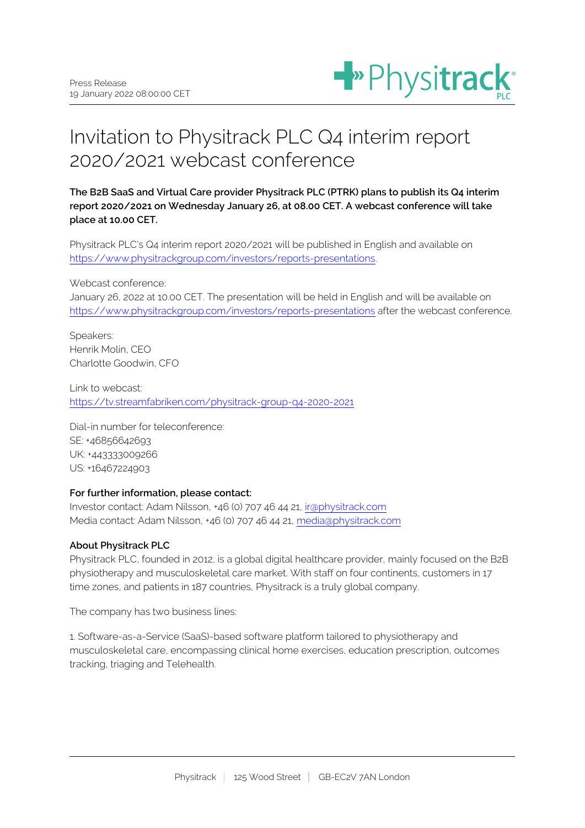

## Invitation to Physitrack PLC Q4 interim report 2020/2021 webcast conference

**The B2B SaaS and Virtual Care provider Physitrack PLC (PTRK) plans to publish its Q4 interim report 2020/2021 on Wednesday January 26, at 08.00 CET. A webcast conference will take place at 10.00 CET.**

Physitrack PLC's Q4 interim report 2020/2021 will be published in English and available on [https://www.physitrackgroup.com/investors/reports-presentations.](https://www.physitrackgroup.com/investors/reports-presentations)

Webcast conference:

January 26, 2022 at 10.00 CET. The presentation will be held in English and will be available on <https://www.physitrackgroup.com/investors/reports-presentations>after the webcast conference.

Speakers: Henrik Molin, CEO Charlotte Goodwin, CFO

Link to webcast: <https://tv.streamfabriken.com/physitrack-group-q4-2020-2021>

Dial-in number for teleconference: SE: +46856642693 UK: +443333009266 US: +16467224903

## **For further information, please contact:**

Investor contact: Adam Nilsson, +46 (0) 707 46 44 21, [ir@physitrack.com](mailto:ir@physitrack.com) Media contact: Adam Nilsson, +46 (0) 707 46 44 21, [media@physitrack.com](mailto:media@physitrack.com)

## **About Physitrack PLC**

Physitrack PLC, founded in 2012, is a global digital healthcare provider, mainly focused on the B2B physiotherapy and musculoskeletal care market. With staff on four continents, customers in 17 time zones, and patients in 187 countries, Physitrack is a truly global company.

The company has two business lines:

1. Software-as-a-Service (SaaS)-based software platform tailored to physiotherapy and musculoskeletal care, encompassing clinical home exercises, education prescription, outcomes tracking, triaging and Telehealth.